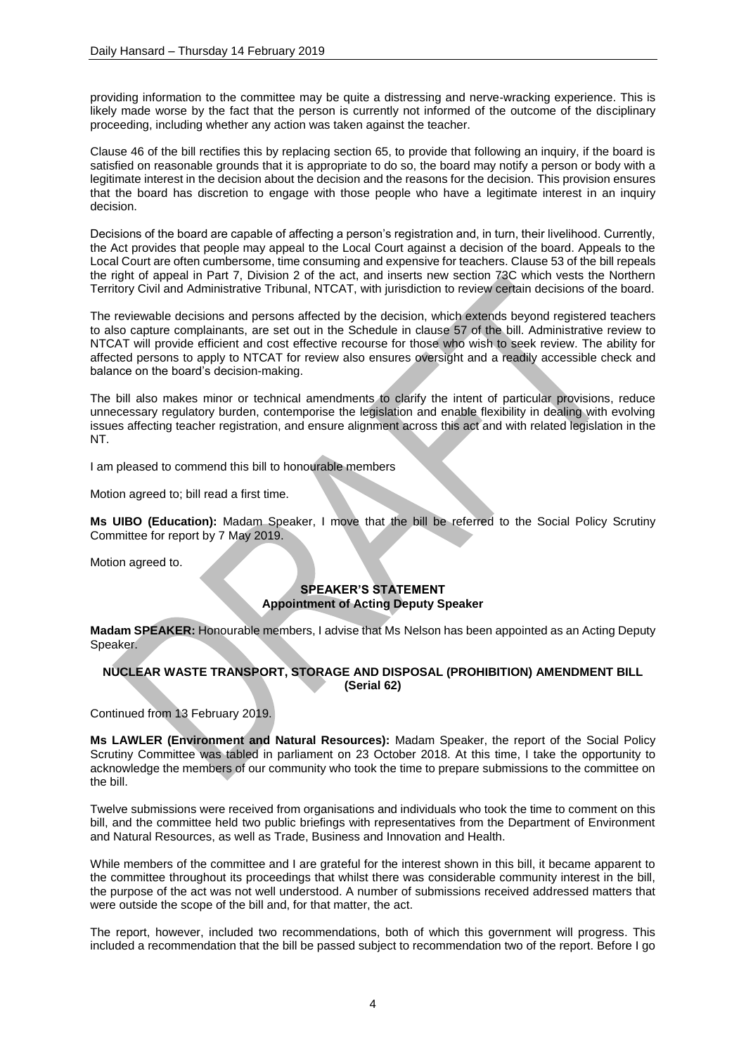providing information to the committee may be quite a distressing and nerve-wracking experience. This is likely made worse by the fact that the person is currently not informed of the outcome of the disciplinary proceeding, including whether any action was taken against the teacher.

Clause 46 of the bill rectifies this by replacing section 65, to provide that following an inquiry, if the board is satisfied on reasonable grounds that it is appropriate to do so, the board may notify a person or body with a legitimate interest in the decision about the decision and the reasons for the decision. This provision ensures that the board has discretion to engage with those people who have a legitimate interest in an inquiry decision.

Decisions of the board are capable of affecting a person's registration and, in turn, their livelihood. Currently, the Act provides that people may appeal to the Local Court against a decision of the board. Appeals to the Local Court are often cumbersome, time consuming and expensive for teachers. Clause 53 of the bill repeals the right of appeal in Part 7, Division 2 of the act, and inserts new section 73C which vests the Northern Territory Civil and Administrative Tribunal, NTCAT, with jurisdiction to review certain decisions of the board.

The reviewable decisions and persons affected by the decision, which extends beyond registered teachers to also capture complainants, are set out in the Schedule in clause 57 of the bill. Administrative review to NTCAT will provide efficient and cost effective recourse for those who wish to seek review. The ability for affected persons to apply to NTCAT for review also ensures oversight and a readily accessible check and balance on the board's decision-making.

The bill also makes minor or technical amendments to clarify the intent of particular provisions, reduce unnecessary regulatory burden, contemporise the legislation and enable flexibility in dealing with evolving issues affecting teacher registration, and ensure alignment across this act and with related legislation in the NT.

I am pleased to commend this bill to honourable members

Motion agreed to; bill read a first time.

**Ms UIBO (Education):** Madam Speaker, I move that the bill be referred to the Social Policy Scrutiny Committee for report by 7 May 2019.

Motion agreed to.

## **SPEAKER'S STATEMENT Appointment of Acting Deputy Speaker**

**Madam SPEAKER:** Honourable members, I advise that Ms Nelson has been appointed as an Acting Deputy Speaker.

## **NUCLEAR WASTE TRANSPORT, STORAGE AND DISPOSAL (PROHIBITION) AMENDMENT BILL (Serial 62)**

Continued from 13 February 2019.

**Ms LAWLER (Environment and Natural Resources):** Madam Speaker, the report of the Social Policy Scrutiny Committee was tabled in parliament on 23 October 2018. At this time, I take the opportunity to acknowledge the members of our community who took the time to prepare submissions to the committee on the bill.

Twelve submissions were received from organisations and individuals who took the time to comment on this bill, and the committee held two public briefings with representatives from the Department of Environment and Natural Resources, as well as Trade, Business and Innovation and Health.

While members of the committee and I are grateful for the interest shown in this bill, it became apparent to the committee throughout its proceedings that whilst there was considerable community interest in the bill, the purpose of the act was not well understood. A number of submissions received addressed matters that were outside the scope of the bill and, for that matter, the act.

The report, however, included two recommendations, both of which this government will progress. This included a recommendation that the bill be passed subject to recommendation two of the report. Before I go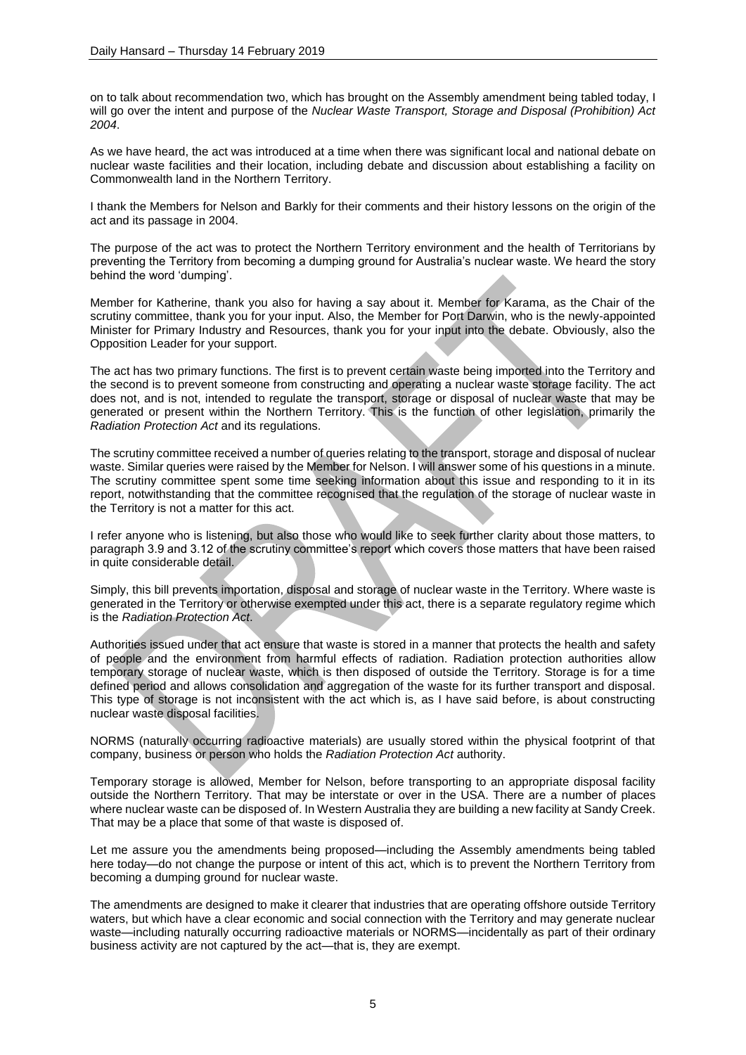on to talk about recommendation two, which has brought on the Assembly amendment being tabled today, I will go over the intent and purpose of the *Nuclear Waste Transport, Storage and Disposal (Prohibition) Act 2004*.

As we have heard, the act was introduced at a time when there was significant local and national debate on nuclear waste facilities and their location, including debate and discussion about establishing a facility on Commonwealth land in the Northern Territory.

I thank the Members for Nelson and Barkly for their comments and their history lessons on the origin of the act and its passage in 2004.

The purpose of the act was to protect the Northern Territory environment and the health of Territorians by preventing the Territory from becoming a dumping ground for Australia's nuclear waste. We heard the story behind the word 'dumping'.

Member for Katherine, thank you also for having a say about it. Member for Karama, as the Chair of the scrutiny committee, thank you for your input. Also, the Member for Port Darwin, who is the newly-appointed Minister for Primary Industry and Resources, thank you for your input into the debate. Obviously, also the Opposition Leader for your support.

The act has two primary functions. The first is to prevent certain waste being imported into the Territory and the second is to prevent someone from constructing and operating a nuclear waste storage facility. The act does not, and is not, intended to regulate the transport, storage or disposal of nuclear waste that may be generated or present within the Northern Territory. This is the function of other legislation, primarily the *Radiation Protection Act* and its regulations.

The scrutiny committee received a number of queries relating to the transport, storage and disposal of nuclear waste. Similar queries were raised by the Member for Nelson. I will answer some of his questions in a minute. The scrutiny committee spent some time seeking information about this issue and responding to it in its report, notwithstanding that the committee recognised that the regulation of the storage of nuclear waste in the Territory is not a matter for this act.

I refer anyone who is listening, but also those who would like to seek further clarity about those matters, to paragraph 3.9 and 3.12 of the scrutiny committee's report which covers those matters that have been raised in quite considerable detail.

Simply, this bill prevents importation, disposal and storage of nuclear waste in the Territory. Where waste is generated in the Territory or otherwise exempted under this act, there is a separate regulatory regime which is the *Radiation Protection Act*.

Authorities issued under that act ensure that waste is stored in a manner that protects the health and safety of people and the environment from harmful effects of radiation. Radiation protection authorities allow temporary storage of nuclear waste, which is then disposed of outside the Territory. Storage is for a time defined period and allows consolidation and aggregation of the waste for its further transport and disposal. This type of storage is not inconsistent with the act which is, as I have said before, is about constructing nuclear waste disposal facilities.

NORMS (naturally occurring radioactive materials) are usually stored within the physical footprint of that company, business or person who holds the *Radiation Protection Act* authority.

Temporary storage is allowed, Member for Nelson, before transporting to an appropriate disposal facility outside the Northern Territory. That may be interstate or over in the USA. There are a number of places where nuclear waste can be disposed of. In Western Australia they are building a new facility at Sandy Creek. That may be a place that some of that waste is disposed of.

Let me assure you the amendments being proposed—including the Assembly amendments being tabled here today—do not change the purpose or intent of this act, which is to prevent the Northern Territory from becoming a dumping ground for nuclear waste.

The amendments are designed to make it clearer that industries that are operating offshore outside Territory waters, but which have a clear economic and social connection with the Territory and may generate nuclear waste—including naturally occurring radioactive materials or NORMS—incidentally as part of their ordinary business activity are not captured by the act—that is, they are exempt.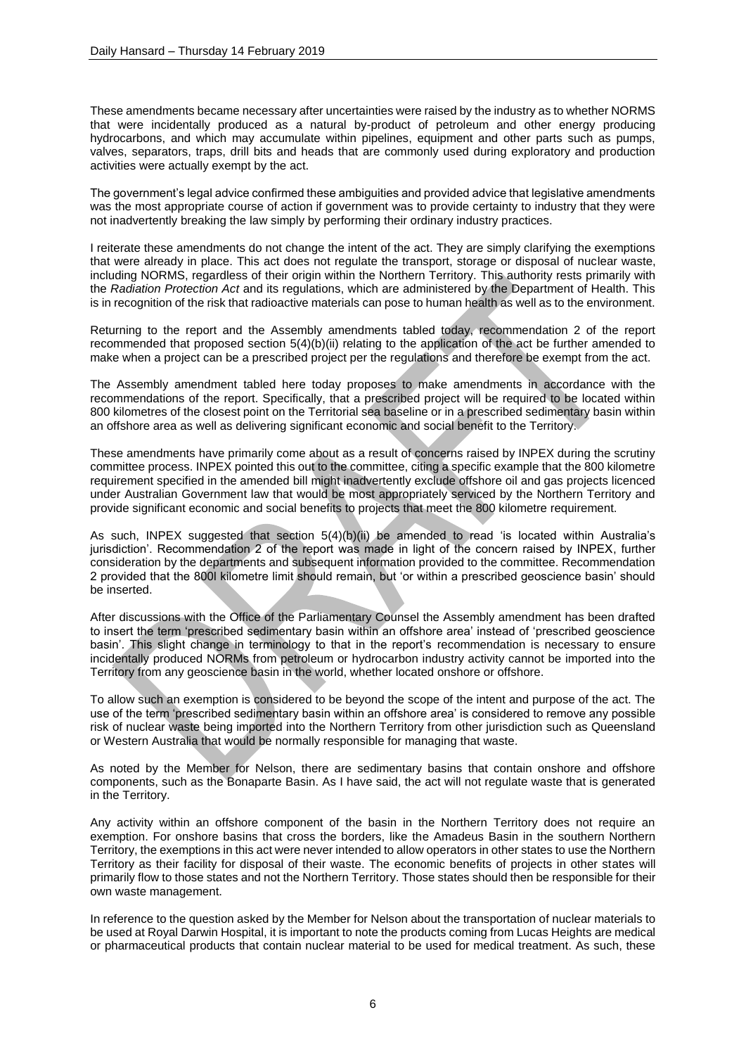These amendments became necessary after uncertainties were raised by the industry as to whether NORMS that were incidentally produced as a natural by-product of petroleum and other energy producing hydrocarbons, and which may accumulate within pipelines, equipment and other parts such as pumps, valves, separators, traps, drill bits and heads that are commonly used during exploratory and production activities were actually exempt by the act.

The government's legal advice confirmed these ambiguities and provided advice that legislative amendments was the most appropriate course of action if government was to provide certainty to industry that they were not inadvertently breaking the law simply by performing their ordinary industry practices.

I reiterate these amendments do not change the intent of the act. They are simply clarifying the exemptions that were already in place. This act does not regulate the transport, storage or disposal of nuclear waste, including NORMS, regardless of their origin within the Northern Territory. This authority rests primarily with the *Radiation Protection Act* and its regulations, which are administered by the Department of Health. This is in recognition of the risk that radioactive materials can pose to human health as well as to the environment.

Returning to the report and the Assembly amendments tabled today, recommendation 2 of the report recommended that proposed section 5(4)(b)(ii) relating to the application of the act be further amended to make when a project can be a prescribed project per the regulations and therefore be exempt from the act.

The Assembly amendment tabled here today proposes to make amendments in accordance with the recommendations of the report. Specifically, that a prescribed project will be required to be located within 800 kilometres of the closest point on the Territorial sea baseline or in a prescribed sedimentary basin within an offshore area as well as delivering significant economic and social benefit to the Territory.

These amendments have primarily come about as a result of concerns raised by INPEX during the scrutiny committee process. INPEX pointed this out to the committee, citing a specific example that the 800 kilometre requirement specified in the amended bill might inadvertently exclude offshore oil and gas projects licenced under Australian Government law that would be most appropriately serviced by the Northern Territory and provide significant economic and social benefits to projects that meet the 800 kilometre requirement.

As such, INPEX suggested that section 5(4)(b)(ii) be amended to read 'is located within Australia's jurisdiction'. Recommendation 2 of the report was made in light of the concern raised by INPEX, further consideration by the departments and subsequent information provided to the committee. Recommendation 2 provided that the 800l kilometre limit should remain, but 'or within a prescribed geoscience basin' should be inserted.

After discussions with the Office of the Parliamentary Counsel the Assembly amendment has been drafted to insert the term 'prescribed sedimentary basin within an offshore area' instead of 'prescribed geoscience basin'. This slight change in terminology to that in the report's recommendation is necessary to ensure incidentally produced NORMs from petroleum or hydrocarbon industry activity cannot be imported into the Territory from any geoscience basin in the world, whether located onshore or offshore.

To allow such an exemption is considered to be beyond the scope of the intent and purpose of the act. The use of the term 'prescribed sedimentary basin within an offshore area' is considered to remove any possible risk of nuclear waste being imported into the Northern Territory from other jurisdiction such as Queensland or Western Australia that would be normally responsible for managing that waste.

As noted by the Member for Nelson, there are sedimentary basins that contain onshore and offshore components, such as the Bonaparte Basin. As I have said, the act will not regulate waste that is generated in the Territory.

Any activity within an offshore component of the basin in the Northern Territory does not require an exemption. For onshore basins that cross the borders, like the Amadeus Basin in the southern Northern Territory, the exemptions in this act were never intended to allow operators in other states to use the Northern Territory as their facility for disposal of their waste. The economic benefits of projects in other states will primarily flow to those states and not the Northern Territory. Those states should then be responsible for their own waste management.

In reference to the question asked by the Member for Nelson about the transportation of nuclear materials to be used at Royal Darwin Hospital, it is important to note the products coming from Lucas Heights are medical or pharmaceutical products that contain nuclear material to be used for medical treatment. As such, these